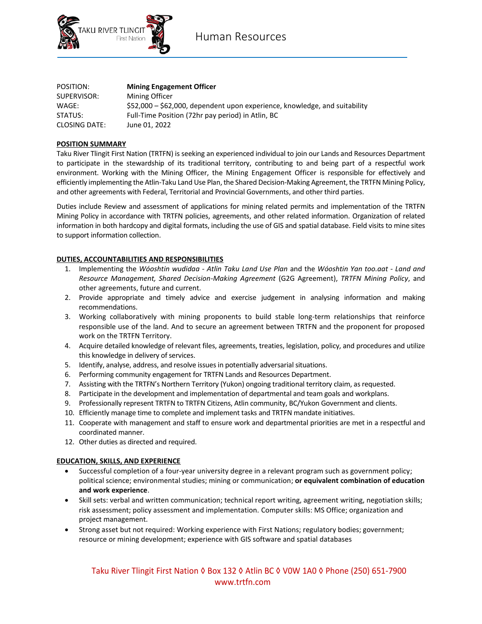

Human Resources

| POSITION:            | <b>Mining Engagement Officer</b>                                           |
|----------------------|----------------------------------------------------------------------------|
| SUPERVISOR:          | Mining Officer                                                             |
| WAGE:                | \$52,000 – \$62,000, dependent upon experience, knowledge, and suitability |
| STATUS:              | Full-Time Position (72hr pay period) in Atlin, BC                          |
| <b>CLOSING DATE:</b> | June 01. 2022                                                              |

# **POSITION SUMMARY**

Taku River Tlingit First Nation (TRTFN) is seeking an experienced individual to join our Lands and Resources Department to participate in the stewardship of its traditional territory, contributing to and being part of a respectful work environment. Working with the Mining Officer, the Mining Engagement Officer is responsible for effectively and efficiently implementing the Atlin-Taku Land Use Plan, the Shared Decision-Making Agreement, the TRTFN Mining Policy, and other agreements with Federal, Territorial and Provincial Governments, and other third parties.

Duties include Review and assessment of applications for mining related permits and implementation of the TRTFN Mining Policy in accordance with TRTFN policies, agreements, and other related information. Organization of related information in both hardcopy and digital formats, including the use of GIS and spatial database. Field visits to mine sites to support information collection.

### **DUTIES, ACCOUNTABILITIES AND RESPONSIBILITIES**

- 1. Implementing the *Wóoshtin wudidaa - Atlin Taku Land Use Plan* and the *Wóoshtin Yan too.aat - Land and Resource Management, Shared Decision-Making Agreement* (G2G Agreement), *TRTFN Mining Policy*, and other agreements, future and current.
- 2. Provide appropriate and timely advice and exercise judgement in analysing information and making recommendations.
- 3. Working collaboratively with mining proponents to build stable long-term relationships that reinforce responsible use of the land. And to secure an agreement between TRTFN and the proponent for proposed work on the TRTFN Territory.
- 4. Acquire detailed knowledge of relevant files, agreements, treaties, legislation, policy, and procedures and utilize this knowledge in delivery of services.
- 5. Identify, analyse, address, and resolve issues in potentially adversarial situations.
- 6. Performing community engagement for TRTFN Lands and Resources Department.
- 7. Assisting with the TRTFN's Northern Territory (Yukon) ongoing traditional territory claim, as requested.
- 8. Participate in the development and implementation of departmental and team goals and workplans.
- 9. Professionally represent TRTFN to TRTFN Citizens, Atlin community, BC/Yukon Government and clients.
- 10. Efficiently manage time to complete and implement tasks and TRTFN mandate initiatives.
- 11. Cooperate with management and staff to ensure work and departmental priorities are met in a respectful and coordinated manner.
- 12. Other duties as directed and required.

### **EDUCATION, SKILLS, AND EXPERIENCE**

- Successful completion of a four-year university degree in a relevant program such as government policy; political science; environmental studies; mining or communication; **or equivalent combination of education and work experience**.
- Skill sets: verbal and written communication; technical report writing, agreement writing, negotiation skills; risk assessment; policy assessment and implementation. Computer skills: MS Office; organization and project management.
- Strong asset but not required: Working experience with First Nations; regulatory bodies; government; resource or mining development; experience with GIS software and spatial databases

# Taku River Tlingit First Nation ◊ Box 132 ◊ Atlin BC ◊ V0W 1A0 ◊ Phone (250) 651-7900 www.trtfn.com